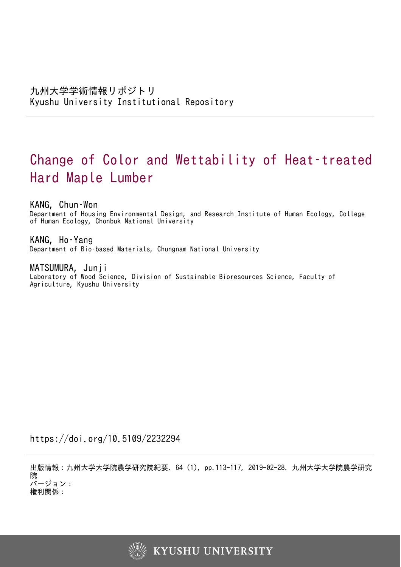# Change of Color and Wettability of Heat–treated Hard Maple Lumber

KANG, Chun–Won

Department of Housing Environmental Design, and Research Institute of Human Ecology, College of Human Ecology, Chonbuk National University

KANG, Ho–Yang Department of Bio–based Materials, Chungnam National University

MATSUMURA, Junji Laboratory of Wood Science, Division of Sustainable Bioresources Science, Faculty of Agriculture, Kyushu University

https://doi.org/10.5109/2232294

出版情報:九州大学大学院農学研究院紀要. 64 (1), pp.113-117, 2019-02-28. 九州大学大学院農学研究 院 バージョン:

権利関係:

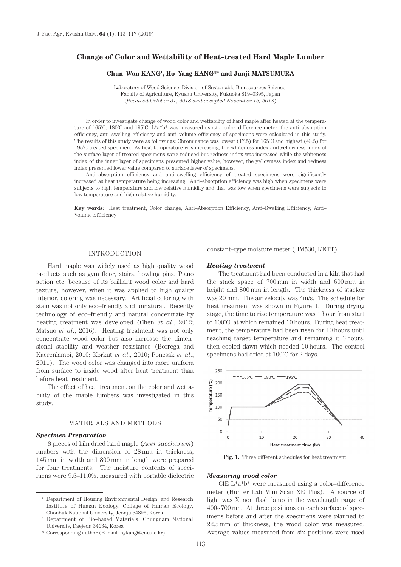# **Change of Color and Wettability of Heat–treated Hard Maple Lumber**

#### **Chun–Won KANG1 , Ho–Yang KANG\*2 and Junji MATSUMURA**

Laboratory of Wood Science, Division of Sustainable Bioresources Science, Faculty of Agriculture, Kyushu University, Fukuoka 819–0395, Japan (*Received October 31, 2018 and accepted November 12, 2018*)

In order to investigate change of wood color and wettability of hard maple after heated at the temperature of 165˚C, 180˚C and 195˚C, L\*a\*b\* was measured using a color–difference meter, the anti–absorption efficiency, anti–swelling efficiency and anti–volume efficiency of specimens were calculated in this study. The results of this study were as followings: Chrominance was lowest (17.5) for 165˚C and highest (43.5) for 195˚C treated specimen. As heat temperature was increasing, the whiteness index and yellowness index of the surface layer of treated specimens were reduced but redness index was increased while the whiteness index of the inner layer of specimens presented higher value, however, the yellowness index and redness index presented lower value compared to surface layer of specimens.

Anti–absorption efficiency and anti–swelling efficiency of treated specimens were significantly increased as heat temperature being increasing. Anti–absorption efficiency was high when specimens were subjects to high temperature and low relative humidity and that was low when specimens were subjects to low temperature and high relative humidity.

**Key words**: Heat treatment, Color change, Anti–Absorption Efficiency, Anti–Swelling Efficiency, Anti– Volume Efficiency

## INTRODUCTION

Hard maple was widely used as high quality wood products such as gym floor, stairs, bowling pins, Piano action etc. because of its brilliant wood color and hard texture, however, when it was applied to high quality interior, coloring was necessary. Artificial coloring with stain was not only eco–friendly and unnatural. Recently technology of eco–friendly and natural concentrate by heating treatment was developed (Chen *et al*., 2012; Matsuo *et al*., 2016). Heating treatment was not only concentrate wood color but also increase the dimensional stability and weather resistance (Borrega and Kaerenlampi, 2010; Korkut *et al*., 2010; Poncsak *et al*., 2011). The wood color was changed into more uniform from surface to inside wood after heat treatment than before heat treatment.

The effect of heat treatment on the color and wettability of the maple lumbers was investigated in this study.

## MATERIALS AND METHODS

#### *Specimen Preparation*

8 pieces of kiln dried hard maple (*Acer saccharum*) lumbers with the dimension of 28 mm in thickness, 145 mm in width and 800 mm in length were prepared for four treatments. The moisture contents of specimens were 9.5–11.0%, measured with portable dielectric

\* Corresponding author (E–mail: hykang@cnu.ac.kr)

constant–type moisture meter (HM530, KETT).

#### *Heating treatment*

The treatment had been conducted in a kiln that had the stack space of 700 mm in width and 600 mm in height and 800 mm in length. The thickness of stacker was 20 mm. The air velocity was 4m/s. The schedule for heat treatment was shown in Figure 1. During drying stage, the time to rise temperature was 1 hour from start to 100˚C, at which remained 10 hours. During heat treatment, the temperature had been risen for 10 hours until reaching target temperature and remaining it 3 hours, then cooled dawn which needed 10 hours. The control specimens had dried at 100˚C for 2 days.



Fig. 1. Three different schedules for heat treatment.

#### *Measuring wood color*

CIE L\*a\*b\* were measured using a color–difference meter (Hunter Lab Mini Scan XE Plus). A source of light was Xenon flash lamp in the wavelength range of 400~700 nm. At three positions on each surface of specimens before and after the specimens were planned to 22.5 mm of thickness, the wood color was measured. Average values measured from six positions were used

<sup>&</sup>lt;sup>1</sup> Department of Housing Environmental Design, and Research Institute of Human Ecology, College of Human Ecology, Chonbuk National University, Jeonju 54896, Korea

<sup>2</sup> Department of Bio–based Materials, Chungnam National University, Daejeon 34134, Korea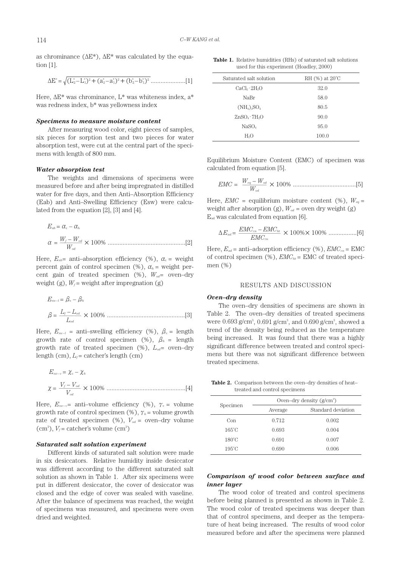as chrominance ( $\Delta E^*$ ),  $\Delta E^*$  was calculated by the equation [1].

ΔE\* = (L\* <sup>2</sup> –L\* 1)2 +(a\* <sup>2</sup> – a\* 1)2 +(b\* 2 –b\* 1)2 .....................[1]

Here,  $\Delta E^*$  was chrominance,  $L^*$  was whiteness index,  $a^*$ was redness index, b\* was yellowness index

## *Specimens to measure moisture content*

After measuring wood color, eight pieces of samples, six pieces for sorption test and two pieces for water absorption test, were cut at the central part of the specimens with length of 800 mm.

#### *Water absorption test*

The weights and dimensions of specimens were measured before and after being impregnated in distilled water for five days, and then Anti–Absorption Efficiency (Eab) and Anti–Swelling Efficiency (Esw) were calculated from the equation [2], [3] and [4].

*Eab* = αc – α*<sup>h</sup>* <sup>α</sup>= *<sup>W</sup>* \_\_\_ *f – Wod Wod* × 100% ...............................................[2]

Here,  $E_{ab}$ = anti-absorption efficiency (%),  $\alpha_c$  = weight percent gain of control specimen (%),  $\alpha_h$  = weight percent gain of treated specimen (%), *Wod*= oven–dry weight (g),  $W_f$  = weight after impregnation (g)

*Esw–l* = βc – β*<sup>h</sup>* <sup>β</sup>= \_\_\_ *Lf – Lod Lod* × 100% ...............................................[3]

Here,  $E_{sw-l}$  = anti-swelling efficiency (%),  $\beta_c$  = length growth rate of control specimen (%),  $\beta_h$  = length growth rate of treated specimen  $(\%)$ ,  $L_{od}$  oven-dry length (cm), *Lf*= catcher's length (cm)

*Esw– v* = χc – χ*<sup>h</sup>* <sup>χ</sup>= \_\_\_ *Vf – Vod Vod* × 100% ................................................[4]

Here,  $E_{sw-v}$ = anti–volume efficiency (%),  $\gamma_c$  = volume growth rate of control specimen  $(\%)$ ,  $\gamma_h$  = volume growth rate of treated specimen (%),  $V_{od}$  = oven–dry volume  $(cm<sup>3</sup>)$ ,  $V_f$  = catcher's volume  $(cm<sup>3</sup>)$ 

#### *Saturated salt solution experiment*

Different kinds of saturated salt solution were made in six desiccators. Relative humidity inside desiccator was different according to the different saturated salt solution as shown in Table 1. After six specimens were put in different desiccator, the cover of desiccator was closed and the edge of cover was sealed with vaseline. After the balance of specimens was reached, the weight of specimens was measured, and specimens were oven dried and weighted.

**Table 1.** Relative humidities (RHs) of saturated salt solutions used for this experiment (Hoadley, 2000)

| Saturated salt solution              | RH $(\%)$ at $20^{\circ}$ C |
|--------------------------------------|-----------------------------|
| CaCl <sub>2</sub> ·2H <sub>2</sub> O | 32.0                        |
| NaBr                                 | 58.0                        |
| $(NH_4)_2SO_4$                       | 80.5                        |
| ZnSO <sub>4</sub> ·7H <sub>2</sub> O | 90.0                        |
| NaSO <sub>4</sub>                    | 95.0                        |
| Н٥                                   | 100.0                       |

Equilibrium Moisture Content (EMC) of specimen was calculated from equation [5].

*EMC* = *<sup>W</sup>* \_\_\_ *eq – Wod Wod* × 100% ......................................[5]

Here,  $EMC =$  equilibrium moisture content (%),  $W_{eq} =$ weight after absorption (g),  $W_{od}$  = oven dry weight (g) Ead was calculated from equation [6].

$$
\Delta E_{ad} = \frac{EMC_{cn} - EMC_{ht}}{EMC_{cn}} \times 100\% \times 100\% \ \dots \dots \dots \dots \dots [6]
$$

Here,  $E_{ad}$  = anti-adsorption efficiency (%),  $EMC_{ca}$  = EMC of control specimen (%),  $EMC<sub>ht</sub>$  = EMC of treated specimen (%)

### RESULTS AND DISCUSSION

#### *Oven–dry density*

The oven–dry densities of specimens are shown in Table 2. The oven–dry densities of treated specimens were  $0.693$  g/cm<sup>3</sup>,  $0.691$  g/cm<sup>3</sup>, and  $0.690$  g/cm<sup>3</sup>, showed a trend of the density being reduced as the temperature being increased. It was found that there was a highly significant difference between treated and control specimens but there was not significant difference between treated specimens.

**Table 2.** Comparison between the oven–dry densities of heat– treated and control specimens

| Specimen        | Oven-dry density $(g/cm^3)$ |                    |  |
|-----------------|-----------------------------|--------------------|--|
|                 | Average                     | Standard deviation |  |
| Con             | 0.712                       | 0.002              |  |
| $165^{\circ}$ C | 0.693                       | 0.004              |  |
| $180^{\circ}$ C | 0.691                       | 0.007              |  |
| $195^{\circ}$ C | 0.690                       | 0.006              |  |

## *Comparison of wood color between surface and inner layer*

The wood color of treated and control specimens before being planned is presented as shown in Table 2. The wood color of treated specimens was deeper than that of control specimens, and deeper as the temperature of heat being increased. The results of wood color measured before and after the specimens were planned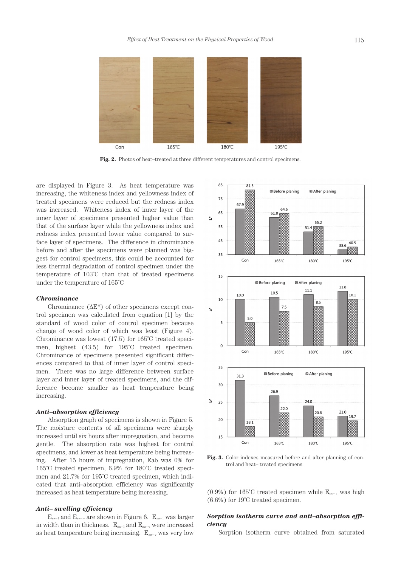

**Fig. 2.** Photos of heat–treated at three different temperatures and control specimens.

are displayed in Figure 3. As heat temperature was increasing, the whiteness index and yellowness index of treated specimens were reduced but the redness index was increased. Whiteness index of inner layer of the inner layer of specimens presented higher value than that of the surface layer while the yellowness index and redness index presented lower value compared to surface layer of specimens. The difference in chrominance before and after the specimens were planned was biggest for control specimens, this could be accounted for less thermal degradation of control specimen under the temperature of 103˚C than that of treated specimens under the temperature of 165˚C

#### *Chrominance*

Chrominance  $(\Delta E^*)$  of other specimens except control specimen was calculated from equation [1] by the standard of wood color of control specimen because change of wood color of which was least (Figure 4). Chrominance was lowest (17.5) for 165˚C treated specimen, highest (43.5) for 195˚C treated specimen. Chrominance of specimens presented significant differences compared to that of inner layer of control specimen. There was no large difference between surface layer and inner layer of treated specimens, and the difference become smaller as heat temperature being increasing.

### *Anti–absorption efficiency*

Absorption graph of specimens is shown in Figure 5. The moisture contents of all specimens were sharply increased until six hours after impregnation, and become gentle. The absorption rate was highest for control specimens, and lower as heat temperature being increasing. After 15 hours of impregnation, Eab was 0% for 165˚C treated specimen, 6.9% for 180˚C treated specimen and 21.7% for 195˚C treated specimen, which indicated that anti–absorption efficiency was significantly increased as heat temperature being increasing.

## *Anti– swelling efficiency*

 $E_{sw-1}$  and  $E_{sw-v}$  are shown in Figure 6.  $E_{sw-1}$  was larger in width than in thickness.  $E_{sw-1}$  and  $E_{sw-v}$  were increased as heat temperature being increasing.  $E_{sw-y}$  was very low



**Fig. 3.** Color indexes measured before and after planning of control and heat– treated specimens.

(0.9%) for 165°C treated specimen while  $E_{sw-v}$  was high (6.6%) for 19˚C treated specimen.

## *Sorption isotherm curve and anti–absorption efficiency*

Sorption isotherm curve obtained from saturated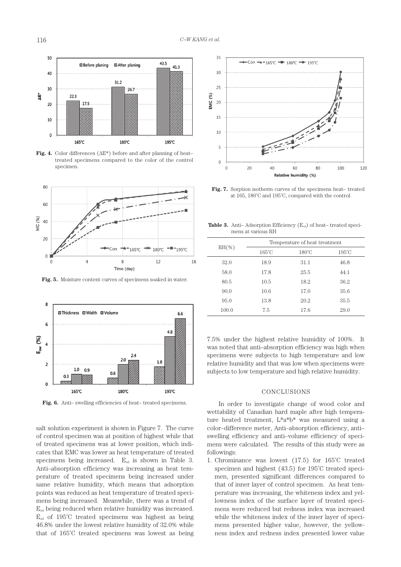

**Fig. 4.** Color differences (ΔE\*) before and after planning of heat– treated specimens compared to the color of the control specimen.



**Fig. 5.** Moisture content curves of specimens soaked in water.



**Fig. 6.** Anti– swelling efficiencies of heat– treated specimens.

salt solution experiment is shown in Figure 7. The curve of control specimen was at position of highest while that of treated specimens was at lower position, which indicates that EMC was lower as heat temperature of treated specimens being increased.  $E_{ad}$  is shown in Table 3. Anti–absorption efficiency was increasing as heat temperature of treated specimens being increased under same relative humidity, which means that adsorption points was reduced as heat temperature of treated specimens being increased. Meanwhile, there was a trend of  $E<sub>ad</sub>$  being reduced when relative humidity was increased.  $E_{ad}$  of 195°C treated specimens was highest as being 46.8% under the lowest relative humidity of 32.0% while that of 165˚C treated specimens was lowest as being



**Fig. 7.** Sorption isotherm curves of the specimens heat– treated at 165, 180˚C and 195˚C, compared with the control.

**Table 3.** Anti– Adsorption Efficiency  $(E_{ad})$  of heat– treated specimens at various RH

| $RH(\mathcal{K})$ | Temperature of heat treatment |                 |                 |  |
|-------------------|-------------------------------|-----------------|-----------------|--|
|                   | $165^{\circ}$ C               | $180^{\circ}$ C | $195^{\circ}$ C |  |
| 32.0              | 18.9                          | 31.1            | 46.8            |  |
| 58.0              | 17.8                          | 25.5            | 44.1            |  |
| 80.5              | 10.5                          | 18.2            | 36.2            |  |
| 90.0              | 10.6                          | 17.0            | 35.6            |  |
| 95.0              | 13.8                          | 20.2            | 35.5            |  |
| 100.0             | 7.5                           | 17.6            | 29.0            |  |

7.5% under the highest relative humidity of 100%. It was noted that anti–absorption efficiency was high when specimens were subjects to high temperature and low relative humidity and that was low when specimens were subjects to low temperature and high relative humidity.

#### CONCLUSIONS

In order to investigate change of wood color and wettability of Canadian hard maple after high temperature heated treatment, L\*a\*b\* was measured using a color–difference meter, Anti–absorption efficiency, anti– swelling efficiency and anti–volume efficiency of specimens were calculated. The results of this study were as followings:

1. Chrominance was lowest (17.5) for 165˚C treated specimen and highest (43.5) for 195˚C treated specimen, presented significant differences compared to that of inner layer of control specimen. As heat temperature was increasing, the whiteness index and yellowness index of the surface layer of treated specimens were reduced but redness index was increased while the whiteness index of the inner layer of specimens presented higher value, however, the yellowness index and redness index presented lower value